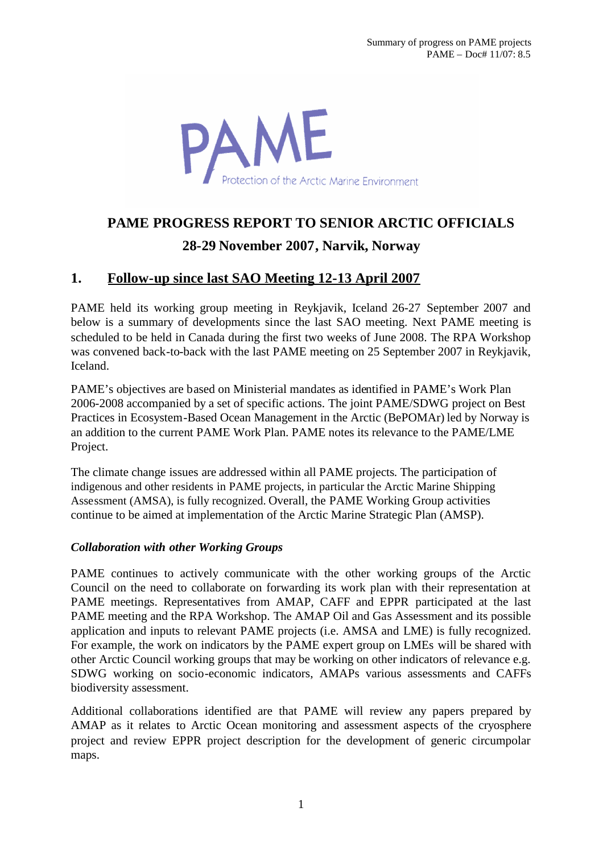AME Protection of the Arctic Marine Environment

# **PAME PROGRESS REPORT TO SENIOR ARCTIC OFFICIALS 28-29 November 2007, Narvik, Norway**

# **1. Follow-up since last SAO Meeting 12-13 April 2007**

PAME held its working group meeting in Reykjavik, Iceland 26-27 September 2007 and below is a summary of developments since the last SAO meeting. Next PAME meeting is scheduled to be held in Canada during the first two weeks of June 2008. The RPA Workshop was convened back-to-back with the last PAME meeting on 25 September 2007 in Reykjavik, Iceland.

PAME's objectives are based on Ministerial mandates as identified in PAME's Work Plan 2006-2008 accompanied by a set of specific actions. The joint PAME/SDWG project on Best Practices in Ecosystem-Based Ocean Management in the Arctic (BePOMAr) led by Norway is an addition to the current PAME Work Plan. PAME notes its relevance to the PAME/LME Project.

The climate change issues are addressed within all PAME projects. The participation of indigenous and other residents in PAME projects, in particular the Arctic Marine Shipping Assessment (AMSA), is fully recognized. Overall, the PAME Working Group activities continue to be aimed at implementation of the Arctic Marine Strategic Plan (AMSP).

## *Collaboration with other Working Groups*

PAME continues to actively communicate with the other working groups of the Arctic Council on the need to collaborate on forwarding its work plan with their representation at PAME meetings. Representatives from AMAP, CAFF and EPPR participated at the last PAME meeting and the RPA Workshop. The AMAP Oil and Gas Assessment and its possible application and inputs to relevant PAME projects (i.e. AMSA and LME) is fully recognized. For example, the work on indicators by the PAME expert group on LMEs will be shared with other Arctic Council working groups that may be working on other indicators of relevance e.g. SDWG working on socio-economic indicators, AMAPs various assessments and CAFFs biodiversity assessment.

Additional collaborations identified are that PAME will review any papers prepared by AMAP as it relates to Arctic Ocean monitoring and assessment aspects of the cryosphere project and review EPPR project description for the development of generic circumpolar maps.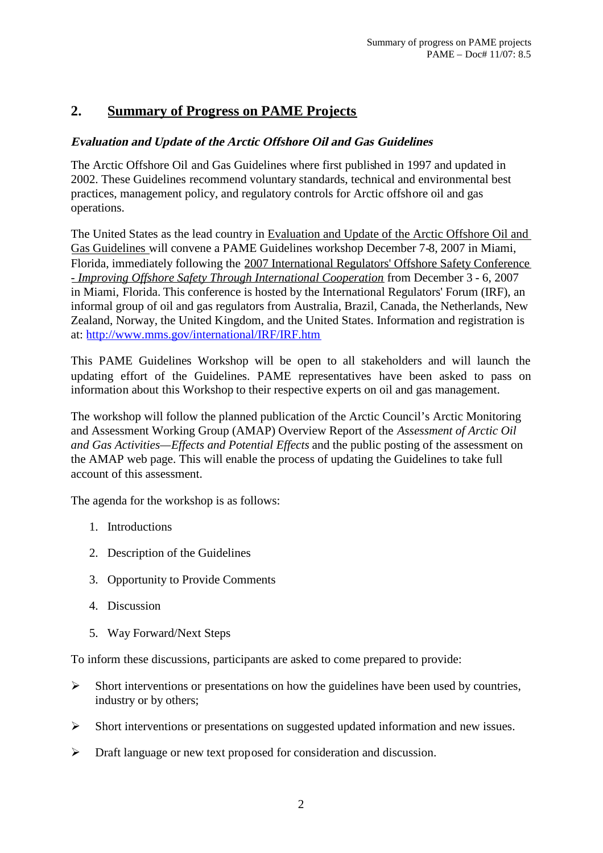# **2. Summary of Progress on PAME Projects**

# **Evaluation and Update of the Arctic Offshore Oil and Gas Guidelines**

The Arctic Offshore Oil and Gas Guidelines where first published in 1997 and updated in 2002. These Guidelines recommend voluntary standards, technical and environmental best practices, management policy, and regulatory controls for Arctic offshore oil and gas operations.

The United States as the lead country in Evaluation and Update of the Arctic Offshore Oil and Gas Guidelines will convene a PAME Guidelines workshop December 7-8, 2007 in Miami, Florida, immediately following the [2007 International Regulators' Offshore Safety Conference](http://www.mms.gov/international/IRF/SecondIROSC.htm) - *Improving Offshore Safety Through International Cooperation* from December 3 - 6, 2007 in Miami, Florida. This conference is hosted by the International Regulators' Forum (IRF), an informal group of oil and gas regulators from Australia, Brazil, Canada, the Netherlands, New Zealand, Norway, the United Kingdom, and the United States. Information and registration is at: <http://www.mms.gov/international/IRF/IRF.htm>

This PAME Guidelines Workshop will be open to all stakeholders and will launch the updating effort of the Guidelines. PAME representatives have been asked to pass on information about this Workshop to their respective experts on oil and gas management.

The workshop will follow the planned publication of the Arctic Council's Arctic Monitoring and Assessment Working Group (AMAP) Overview Report of the *Assessment of Arctic Oil and Gas Activities—Effects and Potential Effects* and the public posting of the assessment on the AMAP web page. This will enable the process of updating the Guidelines to take full account of this assessment.

The agenda for the workshop is as follows:

- 1. Introductions
- 2. Description of the Guidelines
- 3. Opportunity to Provide Comments
- 4. Discussion
- 5. Way Forward/Next Steps

To inform these discussions, participants are asked to come prepared to provide:

- $\triangleright$  Short interventions or presentations on how the guidelines have been used by countries, industry or by others;
- Short interventions or presentations on suggested updated information and new issues.
- Draft language or new text proposed for consideration and discussion.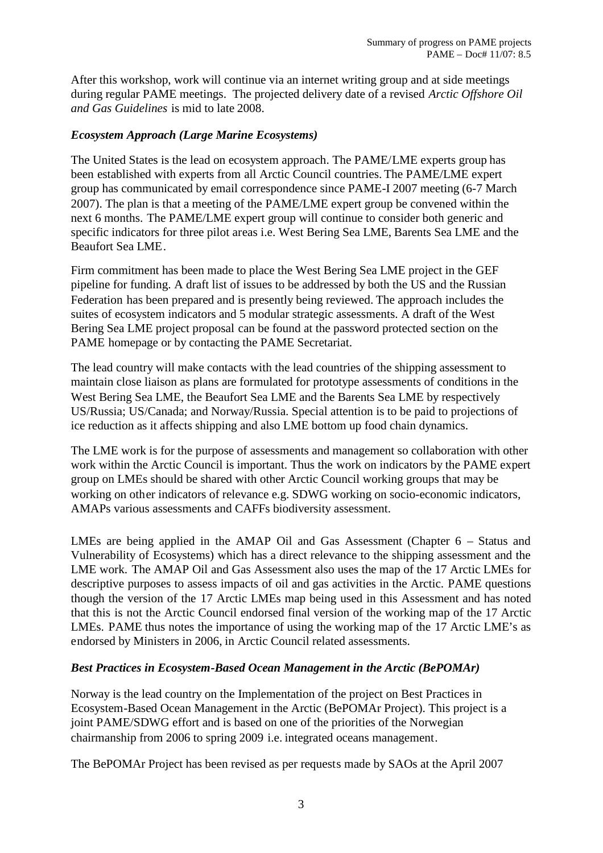After this workshop, work will continue via an internet writing group and at side meetings during regular PAME meetings. The projected delivery date of a revised *Arctic Offshore Oil and Gas Guidelines* is mid to late 2008.

### *Ecosystem Approach (Large Marine Ecosystems)*

The United States is the lead on ecosystem approach. The PAME/LME experts group has been established with experts from all Arctic Council countries. The PAME/LME expert group has communicated by email correspondence since PAME-I 2007 meeting (6-7 March 2007). The plan is that a meeting of the PAME/LME expert group be convened within the next 6 months. The PAME/LME expert group will continue to consider both generic and specific indicators for three pilot areas i.e. West Bering Sea LME, Barents Sea LME and the Beaufort Sea LME.

Firm commitment has been made to place the West Bering Sea LME project in the GEF pipeline for funding. A draft list of issues to be addressed by both the US and the Russian Federation has been prepared and is presently being reviewed. The approach includes the suites of ecosystem indicators and 5 modular strategic assessments. A draft of the West Bering Sea LME project proposal can be found at the password protected section on the PAME homepage or by contacting the PAME Secretariat.

The lead country will make contacts with the lead countries of the shipping assessment to maintain close liaison as plans are formulated for prototype assessments of conditions in the West Bering Sea LME, the Beaufort Sea LME and the Barents Sea LME by respectively US/Russia; US/Canada; and Norway/Russia. Special attention is to be paid to projections of ice reduction as it affects shipping and also LME bottom up food chain dynamics.

The LME work is for the purpose of assessments and management so collaboration with other work within the Arctic Council is important. Thus the work on indicators by the PAME expert group on LMEs should be shared with other Arctic Council working groups that may be working on other indicators of relevance e.g. SDWG working on socio-economic indicators, AMAPs various assessments and CAFFs biodiversity assessment.

LMEs are being applied in the AMAP Oil and Gas Assessment (Chapter 6 – Status and Vulnerability of Ecosystems) which has a direct relevance to the shipping assessment and the LME work. The AMAP Oil and Gas Assessment also uses the map of the 17 Arctic LMEs for descriptive purposes to assess impacts of oil and gas activities in the Arctic. PAME questions though the version of the 17 Arctic LMEs map being used in this Assessment and has noted that this is not the Arctic Council endorsed final version of the working map of the 17 Arctic LMEs. PAME thus notes the importance of using the working map of the 17 Arctic LME's as endorsed by Ministers in 2006, in Arctic Council related assessments.

## *Best Practices in Ecosystem-Based Ocean Management in the Arctic (BePOMAr)*

Norway is the lead country on the Implementation of the project on Best Practices in Ecosystem-Based Ocean Management in the Arctic (BePOMAr Project). This project is a joint PAME/SDWG effort and is based on one of the priorities of the Norwegian chairmanship from 2006 to spring 2009 i.e. integrated oceans management.

The BePOMAr Project has been revised as per requests made by SAOs at the April 2007